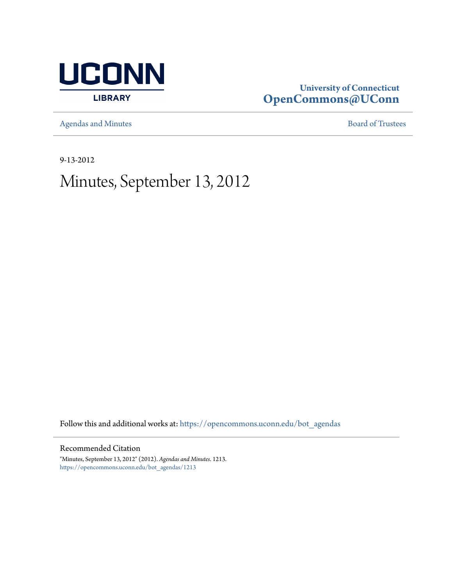

# **University of Connecticut [OpenCommons@UConn](https://opencommons.uconn.edu?utm_source=opencommons.uconn.edu%2Fbot_agendas%2F1213&utm_medium=PDF&utm_campaign=PDFCoverPages)**

[Agendas and Minutes](https://opencommons.uconn.edu/bot_agendas?utm_source=opencommons.uconn.edu%2Fbot_agendas%2F1213&utm_medium=PDF&utm_campaign=PDFCoverPages) **[Board of Trustees](https://opencommons.uconn.edu/bot?utm_source=opencommons.uconn.edu%2Fbot_agendas%2F1213&utm_medium=PDF&utm_campaign=PDFCoverPages)** 

9-13-2012

# Minutes, September 13, 2012

Follow this and additional works at: [https://opencommons.uconn.edu/bot\\_agendas](https://opencommons.uconn.edu/bot_agendas?utm_source=opencommons.uconn.edu%2Fbot_agendas%2F1213&utm_medium=PDF&utm_campaign=PDFCoverPages)

Recommended Citation

"Minutes, September 13, 2012" (2012). *Agendas and Minutes*. 1213. [https://opencommons.uconn.edu/bot\\_agendas/1213](https://opencommons.uconn.edu/bot_agendas/1213?utm_source=opencommons.uconn.edu%2Fbot_agendas%2F1213&utm_medium=PDF&utm_campaign=PDFCoverPages)